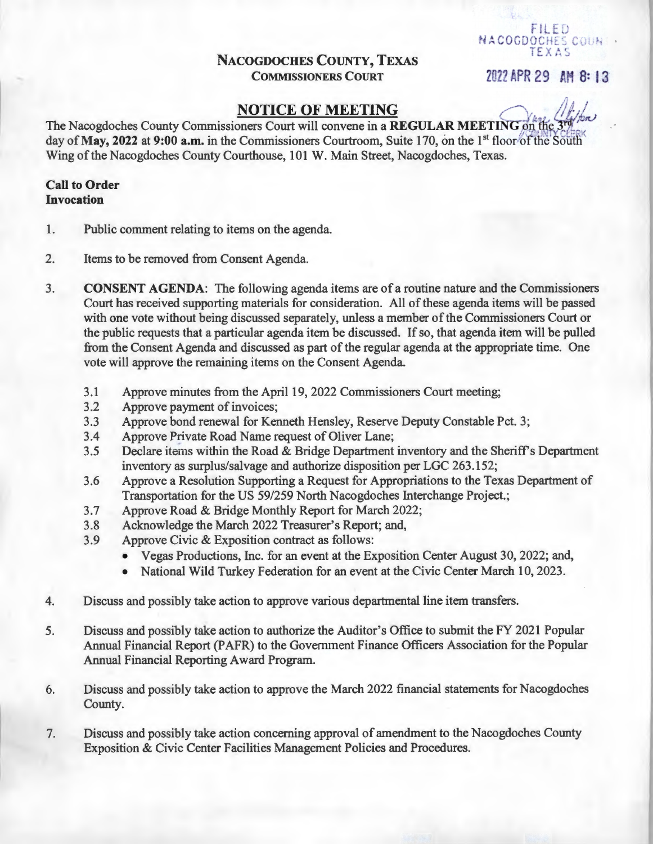## NACOGDOCHES COUNTY, TEXAS COMMISSIONERS COURT 202? APR 29 AH 8: 13

FILED NACOGDOCHES COUNT . TEXAS

 $\iota$ 

## **NOTICE OF MEETING**

lm) The Nacogdoches County Commissioners Court will convene in a REGULAR MEETING on the day of May, 2022 at 9:00 a.m. in the Commissioners Courtroom, Suite 170, on the 1<sup>st</sup> floor of the South Wing of the Nacogdoches County Courthouse, 101 W. Main Street, Nacogdoches, Texas.

#### Call to Order Invocation

- 1. Public comment relating to items on the agenda.
- 2. Items to be removed from Consent Agenda.
- 3. CONSENT AGENDA: The following agenda items are of a routine nature and the Commissioners Court has received supporting materials for consideration. All of these agenda items will be passed with one vote without being discussed separately, unless a member of the Commissioners Court or the public requests that a particular agenda item be discussed. If so, that agenda item will be pulled from the Consent Agenda and discussed as part of the regular agenda at the appropriate time. One vote will approve the remaining items on the Consent Agenda.
	- 3.1 Approve minutes from the April 19, 2022 Commissioners Court meeting;
	- 3.2 Approve payment of invoices;
	- 3.3 Approve bond renewal for Kenneth Hensley, Reserve Deputy Constable Pet. 3;
	- 3.4 Approve Private Road Name request of Oliver Lane;
	- 3.5 Declare items within the Road & Bridge Department inventory and the Sheriff's Department inventory as surplus/salvage and authorize disposition per LGC 263.152;
	- 3.6 Approve a Resolution Supporting a Request for Appropriations to the Texas Department of Transportation for the US 59/259 North Nacogdoches Interchange Project.;
	- 3.7 Approve Road & Bridge Monthly Report for March 2022;
	- 3.8 Acknowledge the March 2022 Treasurer's Report; and,
	- 3.9 Approve Civic & Exposition contract as follows:
		- Vegas Productions, Inc. for an event at the Exposition Center August 30, 2022; and,
		- National Wild Turkey Federation for an event at the Civic Center March 10, 2023.
- 4. Discuss and possibly take action to approve various departmental line item transfers.
- 5. Discuss and possibly take action to authorize the Auditor's Office to submit the FY 2021 Popular Annual Financial Report (PAFR) to the Government Finance Officers Association for the Popular Annual Financial Reporting Award Program.
- 6. Discuss and possibly take action to approve the March 2022 financial statements for Nacogdoches County.
- 7. Discuss and possibly take action concerning approval of amendment to the Nacogdoches County Exposition & Civic Center Facilities Management Policies and Procedures.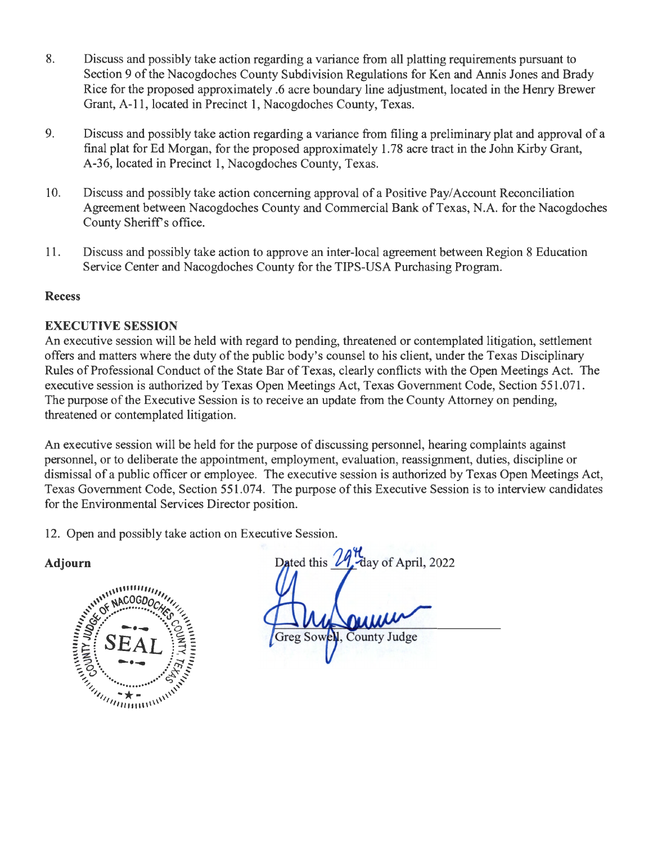- 8. Discuss and possibly take action regarding a variance from all platting requirements pursuant to Section 9 of the Nacogdoches County Subdivision Regulations for Ken and Annis Jones and Brady Rice for the proposed approximately .6 acre boundary line adjustment, located in the Henry Brewer Grant, A-11, located in Precinct 1, Nacogdoches County, Texas.
- 9. Discuss and possibly take action regarding a variance from filing a preliminary plat and approval of a final plat for Ed Morgan, for the proposed approximately 1.78 acre tract in the John Kirby Grant, A-36, located in Precinct 1, Nacogdoches County, Texas.
- 10. Discuss and possibly take action concerning approval of a Positive Pay/ Account Reconciliation Agreement between Nacogdoches County and Commercial Bank of Texas, N.A. for the Nacogdoches County Sheriff's office.
- 11. Discuss and possibly take action to approve an inter-local agreement between Region 8 Education Service Center and Nacogdoches County for the TIPS-USA Purchasing Program.

#### Recess

## EXECUTIVE SESSION

An executive session will be held with regard to pending, threatened or contemplated litigation, settlement offers and matters where the duty of the public body's counsel to his client, under the Texas Disciplinary Rules of Professional Conduct of the State Bar of Texas, clearly conflicts with the Open Meetings Act. The executive session is authorized by Texas Open Meetings Act, Texas Government Code, Section 551.071. The purpose of the Executive Session is to receive an update from the County Attorney on pending, threatened or contemplated litigation.

An executive session will be held for the purpose of discussing personnel, hearing complaints against personnel, or to deliberate the appointment, employment, evaluation, reassignment, duties, discipline or dismissal of a public officer or employee. The executive session is authorized by Texas Open Meetings Act, Texas Government Code, Section 551.074. The purpose of this Executive Session is to interview candidates for the Environmental Services Director position.

12. Open and possibly take action on Executive Session.



Dated this day of April, 2022 Greg Sowell, County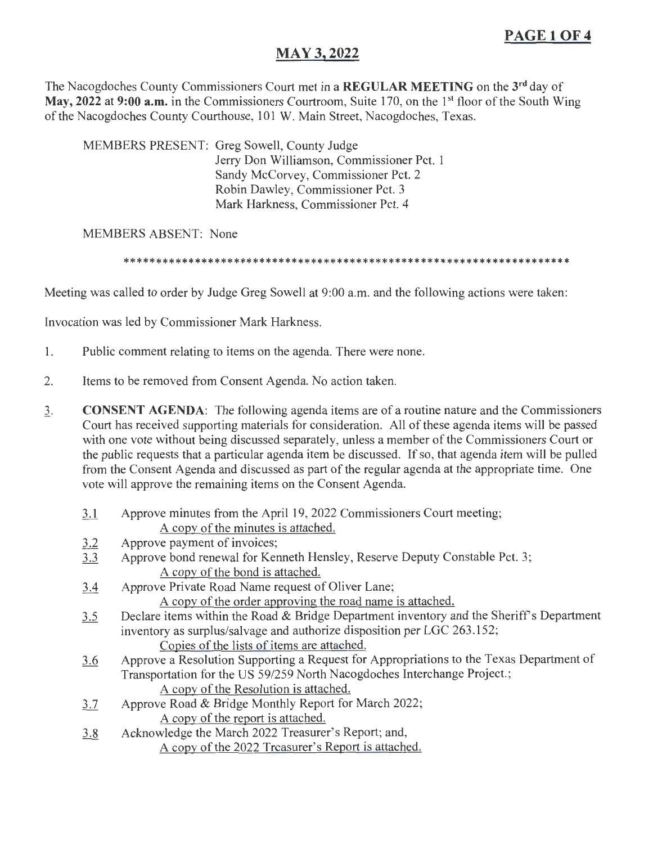# **PAGE10F4**

## **MAY3,2022**

The Nacogdoches County Commissioners Court met in a **REGULAR MEETING** on the **3rd** day of May, 2022 at 9:00 **a.m.** in the Commissioners Courtroom, Suite 170, on the 1<sup>st</sup> floor of the South Wing of the Nacogdoches County Courthouse, 101 W. Main Street, Nacogdoches, Texas.

MEMBERS PRESENT: Greg Sowell, County Judge Jerry Don Williamson, Commissioner Pet. 1 Sandy McCorvey, Commissioner Pet. 2 Robin Dawley, Commissioner Pet. 3 Mark Harkness, Commissioner Pet. 4

#### MEMBERS ABSENT: None

\*\*\*\*\*\*\*\*\*\*\*\*\*\*\*\*\*\*\*\*\*\*\*\*\*\*\*\*\*\*\*\*\*\*\*\*\*\*\*\*\*\*\*\*\*\*\*\*\*\*\*\*\*\*\*\*\*\*\*\*\*\*\*\*\*\*\*\*\*

Meeting was called to order by Judge Greg Sowell at 9:00 a.m. and the following actions were taken:

Invocation was led by Commissioner Mark Harkness.

- 1. Public comment relating to items on the agenda. There were none.
- 2. Items to be removed from Consent Agenda. No action taken.
- 3. **CONSENT AGENDA:** The following agenda items are of a routine nature and the Commissioners Court has received supporting materials for consideration. All of these agenda items will be passed with one vote without being discussed separately, unless a member of the Commissioners Court or the public requests that a particular agenda item be discussed. If so, that agenda item will be pulled from the Consent Agenda and discussed as part of the regular agenda at the appropriate time. One vote will approve the remaining items on the Consent Agenda.
	- 3.1 Approve minutes from the April 19, 2022 Commissioners Court meeting; A copy of the minutes is attached.
	- 3.2 Approve payment of invoices;
	- 3.3 Approve bond renewal for Kenneth Hensley, Reserve Deputy Constable Pet. 3; A copy of the bond is attached.
	- 3.4 Approve Private Road Name request of Oliver Lane;

A copy of the order approving the road name is attached.

- 3.5 Declare items within the Road & Bridge Department inventory and the Sheriff's Department inventory as surplus/salvage and authorize disposition per LGC 263.152; Copies of the lists of items are attached.
- 3.6 Approve a Resolution Supporting a Request for Appropriations to the Texas Department of
	- Transportation for the US 59/259 North Nacogdoches Interchange Project.;
		- A copy of the Resolution is attached.
- 3.7 Approve Road & Bridge Monthly Report for March 2022; A copy of the report is attached.
- 3.8 Acknowledge the March 2022 Treasurer's Report; and, A copy of the 2022 Treasurer's Report is attached.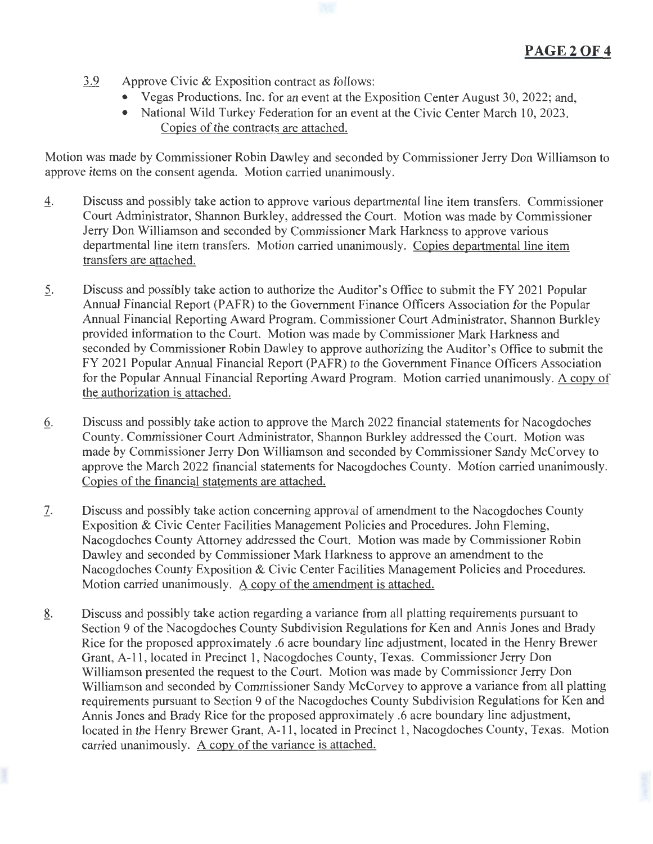- 3.9 Approve Civic & Exposition contract as follows:
	- Vegas Productions, Inc. for an event at the Exposition Center August 30, 2022; and,
	- National Wild Turkey Federation for an event at the Civic Center March 10, 2023. Copies of the contracts are attached.

Motion was made by Commissioner Robin Dawley and seconded by Commissioner Jerry Don Williamson to approve items on the consent agenda. Motion carried unanimously.

- 4. Discuss and possibly take action to approve various departmental line item transfers. Commissioner Court Administrator, Shannon Burkley, addressed the Court. Motion was made by Commissioner Jerry Don Williamson and seconded by Commissioner Mark Harkness to approve various departmental line item transfers. Motion carried unanimously. Copies departmental line item transfers are attached.
- 2. Discuss and possibly take action to authorize the Auditor's Office to submit the FY 2021 Popular Annual Financial Report (PAFR) to the Government Finance Officers Association for the Popular Annual Financial Reporting Award Program. Commissioner Court Administrator, Shannon Burkley provided information to the Court. Motion was made by Commissioner Mark Harkness and seconded by Commissioner Robin Dawley to approve authorizing the Auditor's Office to submit the FY 2021 Popular Annual Financial Report (PAFR) to the Government Finance Officers Association for the Popular Annual Financial Reporting Award Program. Motion carried unanimously. A copy of the authorization is attached.
- 6. Discuss and possibly take action to approve the March 2022 financial statements for Nacogdoches County. Commissioner Court Administrator, Shannon Burkley addressed the Court. Motion was made by Commissioner Jerry Don Williamson and seconded by Commissioner Sandy McCorvey to approve the March 2022 financial statements for Nacogdoches County. Motion carried unanimously. Copies of the financial statements are attached.
- 7. Discuss and possibly take action concerning approval of amendment to the Nacogdoches County Exposition & Civic Center Facilities Management Policies and Procedures. John Fleming, Nacogdoches County Attorney addressed the Court. Motion was made by Commissioner Robin Dawley and seconded by Commissioner Mark Harkness to approve an amendment to the Nacogdoches County Exposition & Civic Center Facilities Management Policies and Procedures. Motion carried unanimously. A copy of the amendment is attached.
- 8. Discuss and possibly take action regarding a variance from all platting requirements pursuant to Section 9 of the Nacogdoches County Subdivision Regulations for Ken and Annis Jones and Brady Rice for the proposed approximately .6 acre boundary line adjustment, located in the Henry Brewer Grant, A-11 , located in Precinct 1, Nacogdoches County, Texas. Commissioner Jerry Don Williamson presented the request to the Court. Motion was made by Commissioner Jerry Don Williamson and seconded by Commissioner Sandy McCorvey to approve a variance from all platting requirements pursuant to Section 9 of the Nacogdoches County Subdivision Regulations for Ken and Annis Jones and Brady Rice for the proposed approximately .6 acre boundary line adjustment, located in the Henry Brewer Grant, A-11, located in Precinct 1, Nacogdoches County, Texas. Motion carried unanimously. A copy of the variance is attached.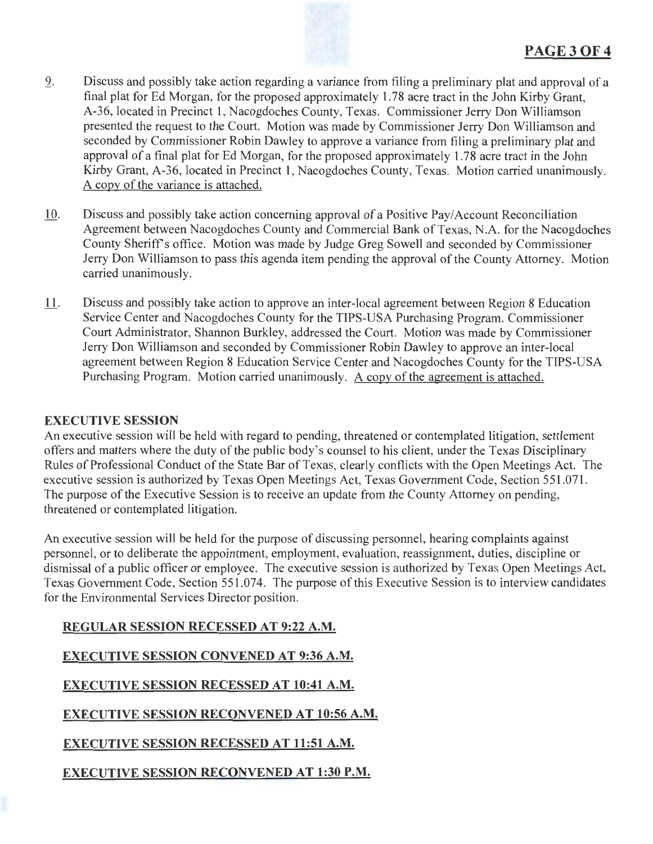

- 9. Discuss and possibly take action regarding a variance from filing a preliminary plat and approval of a final plat for Ed Morgan, for the proposed approximately 1.78 acre tract in the John Kirby Grant, A-36, located in Precinct 1, Nacogdoches County, Texas. Commissioner Jerry Don Williamson presented the request to the Court. Motion was made by Commissioner Jerry Don Williamson and seconded by Commissioner Robin Dawley to approve a variance from filing a preliminary plat and approval of a final plat for Ed Morgan, for the proposed approximately 1. 78 acre tract in the John Kirby Grant, A-36, located in Precinct 1, Nacogdoches County, Texas. Motion carried unanimously. A copy of the variance is attached.
- $\underline{10}$ . Discuss and possibly take action concerning approval of a Positive Pay/Account Reconciliation Agreement between Nacogdoches County and Commercial Bank of Texas, N.A. for the Nacogdoches County Sheriffs office. Motion was made by Judge Greg Sowell and seconded by Commissioner Jerry Don Williamson to pass this agenda item pending the approval of the County Attorney. Motion carried unanimously.
- 11. Discuss and possibly take action to approve an inter-local agreement between Region 8 Education Service Center and Nacogdoches County for the TIPS-USA Purchasing Program. Commissioner Court Administrator, Shannon Burkley, addressed the Court. Motion was made by Commissioner Jerry Don Williamson and seconded by Commissioner Robin Dawley to approve an inter-local agreement between Region 8 Education Service Center and Nacogdoches County for the TIPS-USA Purchasing Program. Motion carried unanimously. A copy of the agreement is attached.

### EXECUTIVE SESSION

An executive session will be held with regard to pending, threatened or contemplated litigation, settlement offers and matters where the duty of the public body's counsel to his client, under the Texas Disciplinary Rules of Professional Conduct of the State Bar of Texas, clearly conflicts with the Open Meetings Act. The executive session is authorized by Texas Open Meetings Act, Texas Government Code, Section 551 .071 . The purpose of the Executive Session is to receive an update from the County Attorney on pending, threatened or contemplated litigation.

An executive session will be held for the purpose of discussing personnel, hearing complaints against personnel, or to deliberate the appointment, employment, evaluation, reassignment, duties, discipline or dismissal of a public officer or employee. The executive session is authorized by Texas Open Meetings Act, Texas Government Code, Section 551.074. The purpose of this Executive Session is to interview candidates for the Environmental Services Director position.

REGULAR SESSION RECESSED AT 9:22 A.M. EXECUTIVE SESSION CONVENED AT 9:36A.M. EXECUTIVE SESSION RECESSED AT 10:41 A.M. EXECUTIVE SESSION RECONVENED AT 10:56 A.M. EXECUTIVE SESSION RECESSED AT 11:51 A.M. EXECUTIVE SESSION RECONVENED AT 1:30 P.M.